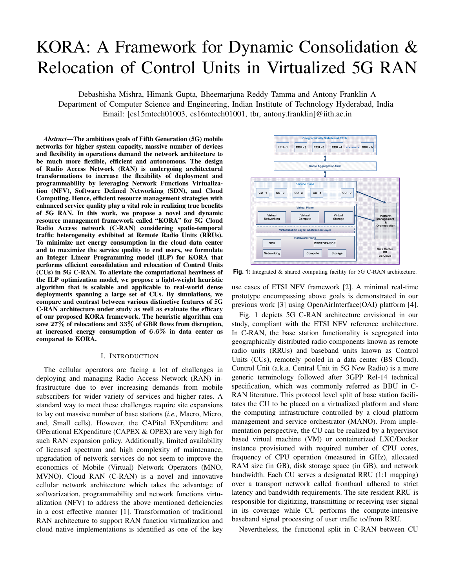# KORA: A Framework for Dynamic Consolidation & Relocation of Control Units in Virtualized 5G RAN

Debashisha Mishra, Himank Gupta, Bheemarjuna Reddy Tamma and Antony Franklin A Department of Computer Science and Engineering, Indian Institute of Technology Hyderabad, India Email: [cs15mtech01003, cs16mtech01001, tbr, antony.franklin]@iith.ac.in

*Abstract*—The ambitious goals of Fifth Generation (5G) mobile networks for higher system capacity, massive number of devices and flexibility in operations demand the network architecture to be much more flexible, efficient and autonomous. The design of Radio Access Network (RAN) is undergoing architectural transformations to increase the flexibility of deployment and programmability by leveraging Network Functions Virtualization (NFV), Software Defined Networking (SDN), and Cloud Computing. Hence, efficient resource management strategies with enhanced service quality play a vital role in realizing true benefits of 5G RAN. In this work, we propose a novel and dynamic resource management framework called "KORA" for 5G Cloud Radio Access network (C-RAN) considering spatio-temporal traffic heterogeneity exhibited at Remote Radio Units (RRUs). To minimize net energy consumption in the cloud data center and to maximize the service quality to end users, we formulate an Integer Linear Programming model (ILP) for KORA that performs efficient consolidation and relocation of Control Units (CUs) in 5G C-RAN. To alleviate the computational heaviness of the ILP optimization model, we propose a light-weight heuristic algorithm that is scalable and applicable to real-world dense deployments spanning a large set of CUs. By simulations, we compare and contrast between various distinctive features of 5G C-RAN architecture under study as well as evaluate the efficacy of our proposed KORA framework. The heuristic algorithm can save 27% of relocations and 33% of GBR flows from disruption, at increased energy consumption of 6.6% in data center as compared to KORA.

#### I. INTRODUCTION

The cellular operators are facing a lot of challenges in deploying and managing Radio Access Network (RAN) infrastructure due to ever increasing demands from mobile subscribers for wider variety of services and higher rates. A standard way to meet these challenges require site expansions to lay out massive number of base stations (*i.e.,* Macro, Micro, and, Small cells). However, the CAPital EXpenditure and OPerational EXpenditure (CAPEX & OPEX) are very high for such RAN expansion policy. Additionally, limited availability of licensed spectrum and high complexity of maintenance, upgradation of network services do not seem to improve the economics of Mobile (Virtual) Network Operators (MNO, MVNO). Cloud RAN (C-RAN) is a novel and innovative cellular network architecture which takes the advantage of softwarization, programmability and network functions virtualization (NFV) to address the above mentioned deficiencies in a cost effective manner [1]. Transformation of traditional RAN architecture to support RAN function virtualization and cloud native implementations is identified as one of the key



**Fig. 1:** Integrated & shared computing facility for 5G C-RAN architecture.

use cases of ETSI NFV framework [2]. A minimal real-time prototype encompassing above goals is demonstrated in our previous work [3] using OpenAirInterface(OAI) platform [4].

Fig. 1 depicts 5G C-RAN architecture envisioned in our study, compliant with the ETSI NFV reference architecture. In C-RAN, the base station functionality is segregated into geographically distributed radio components known as remote radio units (RRUs) and baseband units known as Control Units (CUs), remotely pooled in a data center (BS Cloud). Control Unit (a.k.a. Central Unit in 5G New Radio) is a more generic terminology followed after 3GPP Rel-14 technical specification, which was commonly referred as BBU in C-RAN literature. This protocol level split of base station facilitates the CU to be placed on a virtualized platform and share the computing infrastructure controlled by a cloud platform management and service orchestrator (MANO). From implementation perspective, the CU can be realized by a hypervisor based virtual machine (VM) or containerized LXC/Docker instance provisioned with required number of CPU cores, frequency of CPU operation (measured in GHz), allocated RAM size (in GB), disk storage space (in GB), and network bandwidth. Each CU serves a designated RRU (1:1 mapping) over a transport network called fronthaul adhered to strict latency and bandwidth requirements. The site resident RRU is responsible for digitizing, transmitting or receiving user signal in its coverage while CU performs the compute-intensive baseband signal processing of user traffic to/from RRU.

Nevertheless, the functional split in C-RAN between CU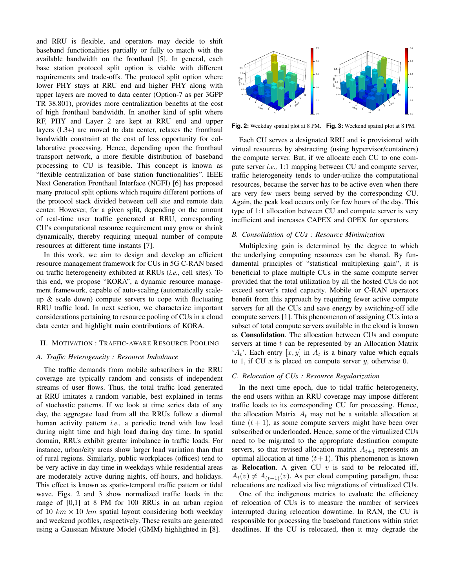and RRU is flexible, and operators may decide to shift baseband functionalities partially or fully to match with the available bandwidth on the fronthaul [5]. In general, each base station protocol split option is viable with different requirements and trade-offs. The protocol split option where lower PHY stays at RRU end and higher PHY along with upper layers are moved to data center (Option-7 as per 3GPP TR 38.801), provides more centralization benefits at the cost of high fronthaul bandwidth. In another kind of split where RF, PHY and Layer 2 are kept at RRU end and upper layers (L3+) are moved to data center, relaxes the fronthaul bandwidth constraint at the cost of less opportunity for collaborative processing. Hence, depending upon the fronthaul transport network, a more flexible distribution of baseband processing to CU is feasible. This concept is known as "flexible centralization of base station functionalities". IEEE Next Generation Fronthaul Interface (NGFI) [6] has proposed many protocol split options which require different portions of the protocol stack divided between cell site and remote data center. However, for a given split, depending on the amount of real-time user traffic generated at RRU, corresponding CU's computational resource requirement may grow or shrink dynamically, thereby requiring unequal number of compute resources at different time instants [7].

In this work, we aim to design and develop an efficient resource management framework for CUs in 5G C-RAN based on traffic heterogeneity exhibited at RRUs (*i.e.,* cell sites). To this end, we propose "KORA", a dynamic resource management framework, capable of auto-scaling (automatically scaleup  $\&$  scale down) compute servers to cope with fluctuating RRU traffic load. In next section, we characterize important considerations pertaining to resource pooling of CUs in a cloud data center and highlight main contributions of KORA.

# II. MOTIVATION : TRAFFIC-AWARE RESOURCE POOLING

### *A. Traffic Heterogeneity : Resource Imbalance*

The traffic demands from mobile subscribers in the RRU coverage are typically random and consists of independent streams of user flows. Thus, the total traffic load generated at RRU imitates a random variable, best explained in terms of stochastic patterns. If we look at time series data of any day, the aggregate load from all the RRUs follow a diurnal human activity pattern *i.e.,* a periodic trend with low load during night time and high load during day time. In spatial domain, RRUs exhibit greater imbalance in traffic loads. For instance, urban/city areas show larger load variation than that of rural regions. Similarly, public workplaces (offices) tend to be very active in day time in weekdays while residential areas are moderately active during nights, off-hours, and holidays. This effect is known as spatio-temporal traffic pattern or tidal wave. Figs. 2 and 3 show normalized traffic loads in the range of [0,1] at 8 PM for 100 RRUs in an urban region of 10  $km \times 10$  km spatial layout considering both weekday and weekend profiles, respectively. These results are generated using a Gaussian Mixture Model (GMM) highlighted in [8].



**Fig. 2:** Weekday spatial plot at 8 PM. **Fig. 3:** Weekend spatial plot at 8 PM.

Each CU serves a designated RRU and is provisioned with virtual resources by abstracting (using hypervisor/containers) the compute server. But, if we allocate each CU to one compute server *i.e.,* 1:1 mapping between CU and compute server, traffic heterogeneity tends to under-utilize the computational resources, because the server has to be active even when there are very few users being served by the corresponding CU. Again, the peak load occurs only for few hours of the day. This type of 1:1 allocation between CU and compute server is very inefficient and increases CAPEX and OPEX for operators.

#### *B. Consolidation of CUs : Resource Minimization*

Multiplexing gain is determined by the degree to which the underlying computing resources can be shared. By fundamental principles of "statistical multiplexing gain", it is beneficial to place multiple CUs in the same compute server provided that the total utilization by all the hosted CUs do not exceed server's rated capacity. Mobile or C-RAN operators benefit from this approach by requiring fewer active compute servers for all the CUs and save energy by switching-off idle compute servers [1]. This phenomenon of assigning CUs into a subset of total compute servers available in the cloud is known as Consolidation. The allocation between CUs and compute servers at time  $t$  can be represented by an Allocation Matrix  $A_t$ . Each entry  $[x, y]$  in  $A_t$  is a binary value which equals to 1, if CU  $x$  is placed on compute server  $y$ , otherwise 0.

#### *C. Relocation of CUs : Resource Regularization*

In the next time epoch, due to tidal traffic heterogeneity, the end users within an RRU coverage may impose different traffic loads to its corresponding CU for processing. Hence, the allocation Matrix  $A_t$  may not be a suitable allocation at time  $(t + 1)$ , as some compute servers might have been over subscribed or underloaded. Hence, some of the virtualized CUs need to be migrated to the appropriate destination compute servers, so that revised allocation matrix  $A_{t+1}$  represents an optimal allocation at time  $(t + 1)$ . This phenomenon is known as **Relocation**. A given CU  $v$  is said to be relocated iff,  $A_t(v) \neq A_{(t-1)}(v)$ . As per cloud computing paradigm, these relocations are realized via live migrations of virtualized CUs.

One of the indigenous metrics to evaluate the efficiency of relocation of CUs is to measure the number of services interrupted during relocation downtime. In RAN, the CU is responsible for processing the baseband functions within strict deadlines. If the CU is relocated, then it may degrade the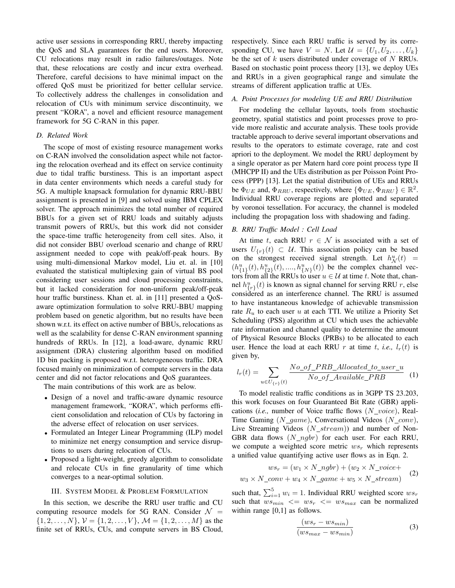active user sessions in corresponding RRU, thereby impacting the QoS and SLA guarantees for the end users. Moreover, CU relocations may result in radio failures/outages. Note that, these relocations are costly and incur extra overhead. Therefore, careful decisions to have minimal impact on the offered QoS must be prioritized for better cellular service. To collectively address the challenges in consolidation and relocation of CUs with minimum service discontinuity, we present "KORA", a novel and efficient resource management framework for 5G C-RAN in this paper.

# *D. Related Work*

The scope of most of existing resource management works on C-RAN involved the consolidation aspect while not factoring the relocation overhead and its effect on service continuity due to tidal traffic burstiness. This is an important aspect in data center environments which needs a careful study for 5G. A multiple knapsack formulation for dynamic RRU-BBU assignment is presented in [9] and solved using IBM CPLEX solver. The approach minimizes the total number of required BBUs for a given set of RRU loads and suitably adjusts transmit powers of RRUs, but this work did not consider the space-time traffic heterogeneity from cell sites. Also, it did not consider BBU overload scenario and change of RRU assignment needed to cope with peak/off-peak hours. By using multi-dimensional Markov model, Liu et. al. in [10] evaluated the statistical multiplexing gain of virtual BS pool considering user sessions and cloud processing constraints, but it lacked consideration for non-uniform peak/off-peak hour traffic burstiness. Khan et. al. in [11] presented a QoSaware optimization formulation to solve RRU-BBU mapping problem based on genetic algorithm, but no results have been shown w.r.t. its effect on active number of BBUs, relocations as well as the scalability for dense C-RAN environment spanning hundreds of RRUs. In [12], a load-aware, dynamic RRU assignment (DRA) clustering algorithm based on modified 1D bin packing is proposed w.r.t. heterogeneous traffic. DRA focused mainly on minimization of compute servers in the data center and did not factor relocations and QoS guarantees.

The main contributions of this work are as below.

- Design of a novel and traffic-aware dynamic resource management framework, "KORA", which performs efficient consolidation and relocation of CUs by factoring in the adverse effect of relocation on user services.
- Formulated an Integer Linear Programming (ILP) model to minimize net energy consumption and service disruptions to users during relocation of CUs.
- Proposed a light-weight, greedy algorithm to consolidate and relocate CUs in fine granularity of time which converges to a near-optimal solution.

#### III. SYSTEM MODEL & PROBLEM FORMULATION

In this section, we describe the RRU user traffic and CU computing resource models for 5G RAN. Consider  $\mathcal{N}$  =  $\{1, 2, \ldots, N\}, \mathcal{V} = \{1, 2, \ldots, V\}, \mathcal{M} = \{1, 2, \ldots, M\}$  as the finite set of RRUs, CUs, and compute servers in BS Cloud, respectively. Since each RRU traffic is served by its corresponding CU, we have  $V = N$ . Let  $\mathcal{U} = \{U_1, U_2, \ldots, U_k\}$ be the set of  $k$  users distributed under coverage of  $N$  RRUs. Based on stochastic point process theory [13], we deploy UEs and RRUs in a given geographical range and simulate the streams of different application traffic at UEs.

# *A. Point Processes for modeling UE and RRU Distribution*

For modeling the cellular layouts, tools from stochastic geometry, spatial statistics and point processes prove to provide more realistic and accurate analysis. These tools provide tractable approach to derive several important observations and results to the operators to estimate coverage, rate and cost apriori to the deployment. We model the RRU deployment by a single operator as per Matern hard core point process type II (MHCPP II) and the UEs distribution as per Poisson Point Process (PPP) [13]. Let the spatial distribution of UEs and RRUs be  $\Phi_{UE}$  and,  $\Phi_{RRU}$ , respectively, where  $\{\Phi_{UE}, \Phi_{RRU}\}\in \mathbb{R}^2$ . Individual RRU coverage regions are plotted and separated by voronoi tessellation. For accuracy, the channel is modeled including the propagation loss with shadowing and fading.

# *B. RRU Traffic Model : Cell Load*

At time t, each RRU  $r \in \mathcal{N}$  is associated with a set of users  $U_{\{r\}}(t) \subset \mathcal{U}$ . This association policy can be based on the strongest received signal strength. Let  $h^u_N(t)$  =  $(h_{\{1\}}^u(t), h_{\{2\}}^u(t), ..., h_{\{N\}}^u(t))$  be the complex channel vectors from all the RRUs to user  $u \in \mathcal{U}$  at time t. Note that, channel  $h_{\{r\}}^u(t)$  is known as signal channel for serving RRU r, else considered as an interference channel. The RRU is assumed to have instantaneous knowledge of achievable transmission rate  $R_u$  to each user u at each TTI. We utilize a Priority Set Scheduling (PSS) algorithm at CU which uses the achievable rate information and channel quality to determine the amount of Physical Resource Blocks (PRBs) to be allocated to each user. Hence the load at each RRU r at time t, *i.e.*,  $l_r(t)$  is given by,

$$
l_r(t) = \sum_{u \in U_{\{r\}}(t)} \frac{No\_of\_PRB\_Allocated\_to\_user\_u}{No\_of\_Available\_PRB} \quad (1)
$$

To model realistic traffic conditions as in 3GPP TS 23.203, this work focuses on four Guaranteed Bit Rate (GBR) applications (*i.e.*, number of Voice traffic flows (N\_voice), Real-Time Gaming  $(N\_game)$ , Conversational Videos  $(N\_conv)$ , Live Streaming Videos  $(N\_stream)$ ) and number of Non-GBR data flows  $(N \_ngbr)$  for each user. For each RRU, we compute a weighted score metric  $ws_r$  which represents a unified value quantifying active user flows as in Eqn. 2.

$$
ws_r = (w_1 \times N\_ngbr) + (w_2 \times N\_voice + w_3 \times N\_conv + w_4 \times N\_game + w_5 \times N\_stream)
$$
 (2)

such that,  $\sum_{i=1}^{5} w_i = 1$ . Individual RRU weighted score  $ws_r$ such that  $ws_{min} \leq w s_r \leq w s_{max}$  can be normalized within range  $[0,1]$  as follows.

$$
\frac{(ws_r - ws_{min})}{(ws_{max} - ws_{min})}
$$
 (3)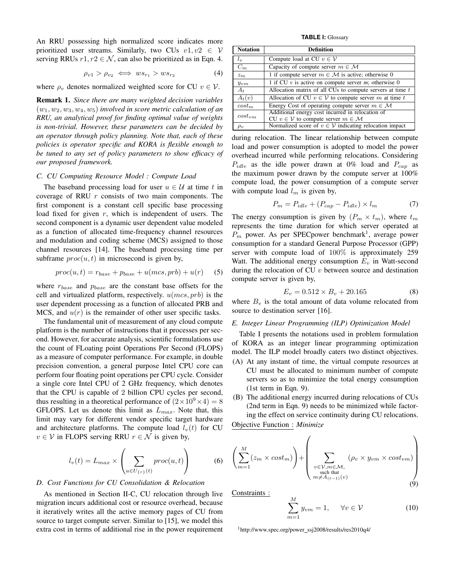An RRU possessing high normalized score indicates more prioritized user streams. Similarly, two CUs  $v1, v2 \in V$ serving RRUs  $r1, r2 \in \mathcal{N}$ , can also be prioritized as in Eqn. 4.

$$
\rho_{v1} > \rho_{v2} \iff ws_{r_1} > ws_{r_2} \tag{4}
$$

where  $\rho_v$  denotes normalized weighted score for CU  $v \in V$ .

Remark 1. *Since there are many weighted decision variables*  $(w_1, w_2, w_3, w_4, w_5)$  *involved in score metric calculation of an RRU, an analytical proof for finding optimal value of weights is non-trivial. However, these parameters can be decided by an operator through policy planning. Note that, each of these policies is operator specific and KORA is flexible enough to be tuned to any set of policy parameters to show efficacy of our proposed framework.*

# *C. CU Computing Resource Model : Compute Load*

The baseband processing load for user  $u \in \mathcal{U}$  at time t in coverage of RRU  $r$  consists of two main components. The first component is a constant cell specific base processing load fixed for given  $r$ , which is independent of users. The second component is a dynamic user dependent value modeled as a function of allocated time-frequency channel resources and modulation and coding scheme (MCS) assigned to those channel resources [14]. The baseband processing time per subframe  $proc(u, t)$  in microsecond is given by,

$$
proc(u,t) = r_{base} + p_{base} + u(mcs, prb) + u(r)
$$
 (5)

where  $r_{base}$  and  $p_{base}$  are the constant base offsets for the cell and virtualized platform, respectively.  $u(mcs, prb)$  is the user dependent processing as a function of allocated PRB and MCS, and  $u(r)$  is the remainder of other user specific tasks.

The fundamental unit of measurement of any cloud compute platform is the number of instructions that it processes per second. However, for accurate analysis, scientific formulations use the count of FLoating point Operations Per Second (FLOPS) as a measure of computer performance. For example, in double precision convention, a general purpose Intel CPU core can perform four floating point operations per CPU cycle. Consider a single core Intel CPU of 2 GHz frequency, which denotes that the CPU is capable of 2 billion CPU cycles per second, thus resulting in a theoretical performance of  $(2 \times 10^9 \times 4) = 8$ GFLOPS. Let us denote this limit as  $L_{max}$ . Note that, this limit may vary for different vendor specific target hardware and architecture platforms. The compute load  $l_v(t)$  for CU  $v \in V$  in FLOPS serving RRU  $r \in \mathcal{N}$  is given by,

$$
l_v(t) = L_{max} \times \left(\sum_{u \in U_{\{r\}}(t)} proc(u, t)\right) \tag{6}
$$

# *D. Cost Functions for CU Consolidation & Relocation*

As mentioned in Section II-C, CU relocation through live migration incurs additional cost or resource overhead, because it iteratively writes all the active memory pages of CU from source to target compute server. Similar to [15], we model this extra cost in terms of additional rise in the power requirement

**TABLE I:** Glossary

| <b>Notation</b> | <b>Definition</b>                                                |
|-----------------|------------------------------------------------------------------|
| $l_{v}$         | Compute load at CU $v \in V$                                     |
| $C_m$           | Capacity of compute server $m \in \mathcal{M}$                   |
| $z_m$           | 1 if compute server $m \in \mathcal{M}$ is active; otherwise 0   |
| $y_{vm}$        | 1 if CU $\nu$ is active on compute server <i>m</i> ; otherwise 0 |
| $A_t$           | Allocation matrix of all CUs to compute servers at time $t$      |
| $A_t(v)$        | Allocation of CU $v \in V$ to compute server m at time t         |
| $cost_m$        | Energy Cost of operating compute server $m \in \mathcal{M}$      |
| $cost_{vm}$     | Additional energy cost incurred in relocation of                 |
|                 | CU $v \in V$ to compute server $m \in M$                         |
| $\rho_v$        | Normalized score of $v \in V$ indicating relocation impact       |

during relocation. The linear relationship between compute load and power consumption is adopted to model the power overhead incurred while performing relocations. Considering  $P_{idle}$  as the idle power drawn at 0% load and  $P_{cap}$  as the maximum power drawn by the compute server at 100% compute load, the power consumption of a compute server with compute load  $l_m$  is given by,

$$
P_m = P_{idle} + (P_{cap} - P_{idle}) \times l_m \tag{7}
$$

The energy consumption is given by  $(P_m \times t_m)$ , where  $t_m$ represents the time duration for which server operated at  $P_m$  power. As per SPEC power benchmark<sup>1</sup>, average power consumption for a standard General Purpose Processor (GPP) server with compute load of 100% is approximately 259 Watt. The additional energy consumption  $E<sub>v</sub>$  in Watt-second during the relocation of CU  $v$  between source and destination compute server is given by,

$$
E_v = 0.512 \times B_v + 20.165 \tag{8}
$$

where  $B_v$  is the total amount of data volume relocated from source to destination server [16].

# *E. Integer Linear Programming (ILP) Optimization Model*

Table I presents the notations used in problem formulation of KORA as an integer linear programming optimization model. The ILP model broadly caters two distinct objectives.

- (A) At any instant of time, the virtual compute resources at CU must be allocated to minimum number of compute servers so as to minimize the total energy consumption (1st term in Eqn. 9).
- (B) The additional energy incurred during relocations of CUs (2nd term in Eqn. 9) needs to be minimized while factoring the effect on service continuity during CU relocations.

Objective Function : *Minimize*

$$
\left(\sum_{m=1}^{M} (z_m \times cost_m)\right) + \left(\sum_{\substack{v \in \mathcal{V}, m \in \mathcal{M}, \\ \text{such that} \\ m \neq A_{(t-1)}(v)}} (\rho_v \times y_{vm} \times cost_{vm})\right)
$$
(9)

Constraints :

$$
\sum_{m=1}^{M} y_{vm} = 1, \quad \forall v \in \mathcal{V}
$$
 (10)

 $1$ http://www.spec.org/power\_ssj2008/results/res2010q4/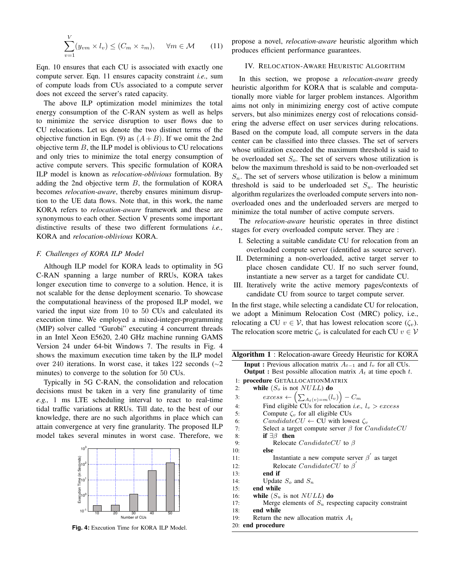$$
\sum_{v=1}^{V} (y_{vm} \times l_v) \le (C_m \times z_m), \quad \forall m \in \mathcal{M} \qquad (11)
$$

Eqn. 10 ensures that each CU is associated with exactly one compute server. Eqn. 11 ensures capacity constraint *i.e.,* sum of compute loads from CUs associated to a compute server does not exceed the server's rated capacity.

The above ILP optimization model minimizes the total energy consumption of the C-RAN system as well as helps to minimize the service disruption to user flows due to CU relocations. Let us denote the two distinct terms of the objective function in Eqn. (9) as  $(A + B)$ . If we omit the 2nd objective term  $B$ , the ILP model is oblivious to CU relocations and only tries to minimize the total energy consumption of active compute servers. This specific formulation of KORA ILP model is known as *relocation-oblivious* formulation. By adding the 2nd objective term  $B$ , the formulation of KORA becomes *relocation-aware*, thereby ensures minimum disruption to the UE data flows. Note that, in this work, the name KORA refers to *relocation-aware* framework and these are synonymous to each other. Section V presents some important distinctive results of these two different formulations *i.e.,* KORA and *relocation-oblivious* KORA.

# *F. Challenges of KORA ILP Model*

Although ILP model for KORA leads to optimality in 5G C-RAN spanning a large number of RRUs, KORA takes longer execution time to converge to a solution. Hence, it is not scalable for the dense deployment scenario. To showcase the computational heaviness of the proposed ILP model, we varied the input size from 10 to 50 CUs and calculated its execution time. We employed a mixed-integer-programming (MIP) solver called "Gurobi" executing 4 concurrent threads in an Intel Xeon E5620, 2.40 GHz machine running GAMS Version 24 under 64-bit Windows 7. The results in Fig. 4 shows the maximum execution time taken by the ILP model over 240 iterations. In worst case, it takes 122 seconds (∼2 minutes) to converge to the solution for 50 CUs.

Typically in 5G C-RAN, the consolidation and relocation decisions must be taken in a very fine granularity of time *e.g.,* 1 ms LTE scheduling interval to react to real-time tidal traffic variations at RRUs. Till date, to the best of our knowledge, there are no such algorithms in place which can attain convergence at very fine granularity. The proposed ILP model takes several minutes in worst case. Therefore, we



**Fig. 4:** Execution Time for KORA ILP Model.

propose a novel, *relocation-aware* heuristic algorithm which produces efficient performance guarantees.

# IV. RELOCATION-AWARE HEURISTIC ALGORITHM

In this section, we propose a *relocation-aware* greedy heuristic algorithm for KORA that is scalable and computationally more viable for larger problem instances. Algorithm aims not only in minimizing energy cost of active compute servers, but also minimizes energy cost of relocations considering the adverse effect on user services during relocations. Based on the compute load, all compute servers in the data center can be classified into three classes. The set of servers whose utilization exceeded the maximum threshold is said to be overloaded set  $S<sub>o</sub>$ . The set of servers whose utilization is below the maximum threshold is said to be non-overloaded set  $S_n$ . The set of servers whose utilization is below a minimum threshold is said to be underloaded set  $S_u$ . The heuristic algorithm regularizes the overloaded compute servers into nonoverloaded ones and the underloaded servers are merged to minimize the total number of active compute servers.

The *relocation-aware* heuristic operates in three distinct stages for every overloaded compute server. They are :

- I. Selecting a suitable candidate CU for relocation from an overloaded compute server (identified as source server).
- II. Determining a non-overloaded, active target server to place chosen candidate CU. If no such server found, instantiate a new server as a target for candidate CU.
- III. Iteratively write the active memory pages/contexts of candidate CU from source to target compute server.

In the first stage, while selecting a candidate CU for relocation, we adopt a Minimum Relocation Cost (MRC) policy, i.e., relocating a CU  $v \in V$ , that has lowest relocation score  $(\zeta_v)$ . The relocation score metric  $\zeta_v$  is calculated for each CU  $v \in V$ 

| Algorithm 1 : Relocation-aware Greedy Heuristic for KORA                                                                                             |  |
|------------------------------------------------------------------------------------------------------------------------------------------------------|--|
| <b>Input :</b> Previous allocation matrix $A_{t-1}$ and $l_v$ for all CUs.<br><b>Output</b> : Best possible allocation matrix $A_t$ at time epoch t. |  |
| 1: procedure GETALLOCATIONMATRIX                                                                                                                     |  |
| while $(S_o$ is not $NULL)$ do<br>2:                                                                                                                 |  |
| $excess \leftarrow (\sum_{A_t(v)=m} (l_v)) - C_m$<br>3:                                                                                              |  |
| Find eligible CUs for relocation <i>i.e.</i> , $l_v > excess$<br>4:                                                                                  |  |
| Compute $\zeta_v$ for all eligible CUs<br>5:                                                                                                         |  |
| $CandidateCU \leftarrow CU$ with lowest $\zeta_v$<br>6:                                                                                              |  |
| Select a target compute server $\beta$ for <i>CandidateCU</i><br>7:                                                                                  |  |
| if $\exists \beta$ then<br>8:                                                                                                                        |  |
| Relocate <i>CandidateCU</i> to $\beta$<br>9:                                                                                                         |  |
| else<br>10:                                                                                                                                          |  |
| Instantiate a new compute server $\beta'$ as target<br>11:                                                                                           |  |
| Relocate CandidateCU to $\beta'$<br>12:                                                                                                              |  |
| end if<br>13:                                                                                                                                        |  |
| Update $S_0$ and $S_n$<br>14:                                                                                                                        |  |
| end while<br>15:                                                                                                                                     |  |
| while $(S_u$ is not $NULL)$ do<br>16:                                                                                                                |  |
| Merge elements of $S_u$ respecting capacity constraint<br>17:                                                                                        |  |
| end while<br>18:                                                                                                                                     |  |
| Return the new allocation matrix $A_t$<br>19:                                                                                                        |  |
| 20: end procedure                                                                                                                                    |  |
|                                                                                                                                                      |  |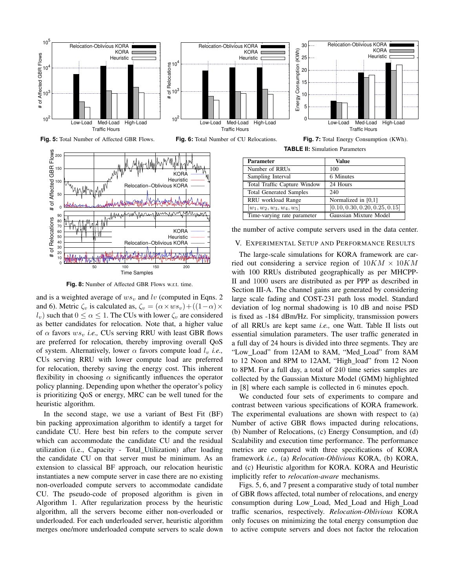

**Fig. 8:** Number of Affected GBR Flows w.r.t. time.

50 100 150 200

Time Samples

and is a weighted average of  $ws_v$  and lv (computed in Eqns. 2 and 6). Metric  $\zeta_v$  is calculated as,  $\zeta_v = (\alpha \times ws_v) + ((1 - \alpha) \times$  $l_v$ ) such that  $0 \le \alpha \le 1$ . The CUs with lower  $\zeta_v$  are considered as better candidates for relocation. Note that, a higher value of  $\alpha$  favors  $ws<sub>v</sub>$ , *i.e.*, CUs serving RRU with least GBR flows are preferred for relocation, thereby improving overall QoS of system. Alternatively, lower  $\alpha$  favors compute load  $l_v$  *i.e.*, CUs serving RRU with lower compute load are preferred for relocation, thereby saving the energy cost. This inherent flexibility in choosing  $\alpha$  significantly influences the operator policy planning. Depending upon whether the operator's policy is prioritizing QoS or energy, MRC can be well tuned for the heuristic algorithm.

In the second stage, we use a variant of Best Fit (BF) bin packing approximation algorithm to identify a target for candidate CU. Here best bin refers to the compute server which can accommodate the candidate CU and the residual utilization (i.e., Capacity - Total\_Utilization) after loading the candidate CU on that server must be minimum. As an extension to classical BF approach, our relocation heuristic instantiates a new compute server in case there are no existing non-overloaded compute servers to accommodate candidate CU. The pseudo-code of proposed algorithm is given in Algorithm 1. After regularization process by the heuristic algorithm, all the servers become either non-overloaded or underloaded. For each underloaded server, heuristic algorithm merges one/more underloaded compute servers to scale down

ried out considering a service region of  $10KM \times 10KM$ with 100 RRUs distributed geographically as per MHCPP-II and 1000 users are distributed as per PPP as described in Section III-A. The channel gains are generated by considering large scale fading and COST-231 path loss model. Standard deviation of log normal shadowing is 10 dB and noise PSD is fixed as -184 dBm/Hz. For simplicity, transmission powers of all RRUs are kept same *i.e.,* one Watt. Table II lists out essential simulation parameters. The user traffic generated in a full day of 24 hours is divided into three segments. They are "Low Load" from 12AM to 8AM, "Med Load" from 8AM to 12 Noon and 8PM to 12AM, "High\_load" from 12 Noon to 8PM. For a full day, a total of 240 time series samples are collected by the Gaussian Mixture Model (GMM) highlighted in [8] where each sample is collected in 6 minutes epoch.

We conducted four sets of experiments to compare and contrast between various specifications of KORA framework. The experimental evaluations are shown with respect to (a) Number of active GBR flows impacted during relocations, (b) Number of Relocations, (c) Energy Consumption, and (d) Scalability and execution time performance. The performance metrics are compared with three specifications of KORA framework *i.e.,* (a) *Relocation-Oblivious* KORA, (b) KORA, and (c) Heuristic algorithm for KORA. KORA and Heuristic implicitly refer to *relocation-aware* mechanisms.

Figs. 5, 6, and 7 present a comparative study of total number of GBR flows affected, total number of relocations, and energy consumption during Low Load, Med Load and High Load traffic scenarios, respectively. *Relocation-Oblivious* KORA only focuses on minimizing the total energy consumption due to active compute servers and does not factor the relocation